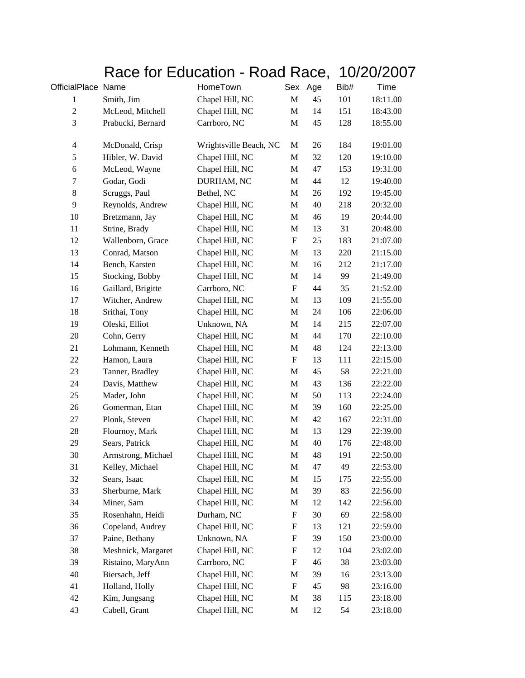## Race for Education - Road Race, 10/20/2007

| OfficialPlace Name      |                    | HomeTown               | Sex                       | Age | Bib# | <b>Time</b> |
|-------------------------|--------------------|------------------------|---------------------------|-----|------|-------------|
| $\mathbf{1}$            | Smith, Jim         | Chapel Hill, NC        | $\mathbf M$               | 45  | 101  | 18:11.00    |
| $\overline{c}$          | McLeod, Mitchell   | Chapel Hill, NC        | $\mathbf M$               | 14  | 151  | 18:43.00    |
| 3                       | Prabucki, Bernard  | Carrboro, NC           | M                         | 45  | 128  | 18:55.00    |
| $\overline{\mathbf{4}}$ | McDonald, Crisp    | Wrightsville Beach, NC | M                         | 26  | 184  | 19:01.00    |
| 5                       | Hibler, W. David   | Chapel Hill, NC        | $\mathbf M$               | 32  | 120  | 19:10.00    |
| $\boldsymbol{6}$        | McLeod, Wayne      | Chapel Hill, NC        | M                         | 47  | 153  | 19:31.00    |
| 7                       | Godar, Godi        | DURHAM, NC             | M                         | 44  | 12   | 19:40.00    |
| 8                       | Scruggs, Paul      | Bethel, NC             | M                         | 26  | 192  | 19:45.00    |
| 9                       | Reynolds, Andrew   | Chapel Hill, NC        | M                         | 40  | 218  | 20:32.00    |
| 10                      | Bretzmann, Jay     | Chapel Hill, NC        | M                         | 46  | 19   | 20:44.00    |
| 11                      | Strine, Brady      | Chapel Hill, NC        | M                         | 13  | 31   | 20:48.00    |
| 12                      | Wallenborn, Grace  | Chapel Hill, NC        | F                         | 25  | 183  | 21:07.00    |
| 13                      | Conrad, Matson     | Chapel Hill, NC        | M                         | 13  | 220  | 21:15.00    |
| 14                      | Bench, Karsten     | Chapel Hill, NC        | M                         | 16  | 212  | 21:17.00    |
| 15                      | Stocking, Bobby    | Chapel Hill, NC        | M                         | 14  | 99   | 21:49.00    |
| 16                      | Gaillard, Brigitte | Carrboro, NC           | F                         | 44  | 35   | 21:52.00    |
| 17                      | Witcher, Andrew    | Chapel Hill, NC        | M                         | 13  | 109  | 21:55.00    |
| 18                      | Srithai, Tony      | Chapel Hill, NC        | M                         | 24  | 106  | 22:06.00    |
| 19                      | Oleski, Elliot     | Unknown, NA            | M                         | 14  | 215  | 22:07.00    |
| $20\,$                  | Cohn, Gerry        | Chapel Hill, NC        | M                         | 44  | 170  | 22:10.00    |
| 21                      | Lohmann, Kenneth   | Chapel Hill, NC        | M                         | 48  | 124  | 22:13.00    |
| 22                      | Hamon, Laura       | Chapel Hill, NC        | $\boldsymbol{\mathrm{F}}$ | 13  | 111  | 22:15.00    |
| 23                      | Tanner, Bradley    | Chapel Hill, NC        | M                         | 45  | 58   | 22:21.00    |
| 24                      | Davis, Matthew     | Chapel Hill, NC        | $\mathbf M$               | 43  | 136  | 22:22.00    |
| 25                      | Mader, John        | Chapel Hill, NC        | M                         | 50  | 113  | 22:24.00    |
| 26                      | Gomerman, Etan     | Chapel Hill, NC        | M                         | 39  | 160  | 22:25.00    |
| $27\,$                  | Plonk, Steven      | Chapel Hill, NC        | M                         | 42  | 167  | 22:31.00    |
| $28\,$                  | Flournoy, Mark     | Chapel Hill, NC        | M                         | 13  | 129  | 22:39.00    |
| 29                      | Sears, Patrick     | Chapel Hill, NC        | M                         | 40  | 176  | 22:48.00    |
| 30                      | Armstrong, Michael | Chapel Hill, NC        | $\mathbf M$               | 48  | 191  | 22:50.00    |
| 31                      | Kelley, Michael    | Chapel Hill, NC        | $\mathbf M$               | 47  | 49   | 22:53.00    |
| 32                      | Sears, Isaac       | Chapel Hill, NC        | M                         | 15  | 175  | 22:55.00    |
| 33                      | Sherburne, Mark    | Chapel Hill, NC        | $\mathbf M$               | 39  | 83   | 22:56.00    |
| 34                      | Miner, Sam         | Chapel Hill, NC        | M                         | 12  | 142  | 22:56.00    |
| 35                      | Rosenhahn, Heidi   | Durham, NC             | F                         | 30  | 69   | 22:58.00    |
| 36                      | Copeland, Audrey   | Chapel Hill, NC        | $\boldsymbol{\mathrm{F}}$ | 13  | 121  | 22:59.00    |
| 37                      | Paine, Bethany     | Unknown, NA            | F                         | 39  | 150  | 23:00.00    |
| 38                      | Meshnick, Margaret | Chapel Hill, NC        | F                         | 12  | 104  | 23:02.00    |
| 39                      | Ristaino, MaryAnn  | Carrboro, NC           | F                         | 46  | 38   | 23:03.00    |
| 40                      | Biersach, Jeff     | Chapel Hill, NC        | M                         | 39  | 16   | 23:13.00    |
| 41                      | Holland, Holly     | Chapel Hill, NC        | F                         | 45  | 98   | 23:16.00    |
| 42                      | Kim, Jungsang      | Chapel Hill, NC        | M                         | 38  | 115  | 23:18.00    |
| 43                      | Cabell, Grant      | Chapel Hill, NC        | M                         | 12  | 54   | 23:18.00    |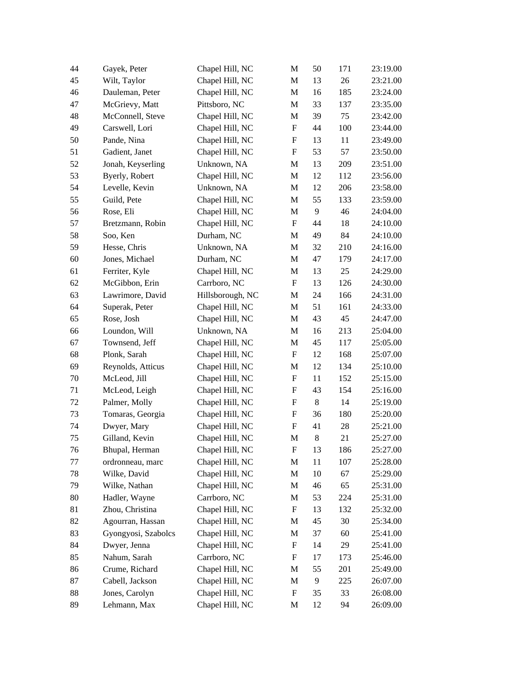| 44 | Gayek, Peter        | Chapel Hill, NC  | M                         | 50             | 171 | 23:19.00 |
|----|---------------------|------------------|---------------------------|----------------|-----|----------|
| 45 | Wilt, Taylor        | Chapel Hill, NC  | M                         | 13             | 26  | 23:21.00 |
| 46 | Dauleman, Peter     | Chapel Hill, NC  | M                         | 16             | 185 | 23:24.00 |
| 47 | McGrievy, Matt      | Pittsboro, NC    | M                         | 33             | 137 | 23:35.00 |
| 48 | McConnell, Steve    | Chapel Hill, NC  | M                         | 39             | 75  | 23:42.00 |
| 49 | Carswell, Lori      | Chapel Hill, NC  | $\boldsymbol{\mathrm{F}}$ | 44             | 100 | 23:44.00 |
| 50 | Pande, Nina         | Chapel Hill, NC  | F                         | 13             | 11  | 23:49.00 |
| 51 | Gadient, Janet      | Chapel Hill, NC  | F                         | 53             | 57  | 23:50.00 |
| 52 | Jonah, Keyserling   | Unknown, NA      | M                         | 13             | 209 | 23:51.00 |
| 53 | Byerly, Robert      | Chapel Hill, NC  | M                         | 12             | 112 | 23:56.00 |
| 54 | Levelle, Kevin      | Unknown, NA      | M                         | 12             | 206 | 23:58.00 |
| 55 | Guild, Pete         | Chapel Hill, NC  | M                         | 55             | 133 | 23:59.00 |
| 56 | Rose, Eli           | Chapel Hill, NC  | M                         | $\overline{9}$ | 46  | 24:04.00 |
| 57 | Bretzmann, Robin    | Chapel Hill, NC  | $\boldsymbol{\mathrm{F}}$ | 44             | 18  | 24:10.00 |
| 58 | Soo, Ken            | Durham, NC       | M                         | 49             | 84  | 24:10.00 |
| 59 | Hesse, Chris        | Unknown, NA      | M                         | 32             | 210 | 24:16.00 |
| 60 | Jones, Michael      | Durham, NC       | M                         | 47             | 179 | 24:17.00 |
| 61 | Ferriter, Kyle      | Chapel Hill, NC  | M                         | 13             | 25  | 24:29.00 |
| 62 | McGibbon, Erin      | Carrboro, NC     | $\boldsymbol{\mathrm{F}}$ | 13             | 126 | 24:30.00 |
| 63 | Lawrimore, David    | Hillsborough, NC | M                         | 24             | 166 | 24:31.00 |
| 64 | Superak, Peter      | Chapel Hill, NC  | M                         | 51             | 161 | 24:33.00 |
| 65 | Rose, Josh          | Chapel Hill, NC  | M                         | 43             | 45  | 24:47.00 |
| 66 | Loundon, Will       | Unknown, NA      | M                         | 16             | 213 | 25:04.00 |
| 67 | Townsend, Jeff      | Chapel Hill, NC  | M                         | 45             | 117 | 25:05.00 |
| 68 | Plonk, Sarah        | Chapel Hill, NC  | $\boldsymbol{\mathrm{F}}$ | 12             | 168 | 25:07.00 |
| 69 | Reynolds, Atticus   | Chapel Hill, NC  | M                         | 12             | 134 | 25:10.00 |
| 70 | McLeod, Jill        | Chapel Hill, NC  | F                         | 11             | 152 | 25:15.00 |
| 71 | McLeod, Leigh       | Chapel Hill, NC  | $\boldsymbol{\mathrm{F}}$ | 43             | 154 | 25:16.00 |
| 72 | Palmer, Molly       | Chapel Hill, NC  | F                         | $8\,$          | 14  | 25:19.00 |
| 73 | Tomaras, Georgia    | Chapel Hill, NC  | F                         | 36             | 180 | 25:20.00 |
| 74 | Dwyer, Mary         | Chapel Hill, NC  | F                         | 41             | 28  | 25:21.00 |
| 75 | Gilland, Kevin      | Chapel Hill, NC  | M                         | $8\,$          | 21  | 25:27.00 |
| 76 | Bhupal, Herman      | Chapel Hill, NC  | F                         | 13             | 186 | 25:27.00 |
| 77 | ordronneau, marc    | Chapel Hill, NC  | M                         | 11             | 107 | 25:28.00 |
| 78 | Wilke, David        | Chapel Hill, NC  | M                         | 10             | 67  | 25:29.00 |
| 79 | Wilke, Nathan       | Chapel Hill, NC  | M                         | 46             | 65  | 25:31.00 |
| 80 | Hadler, Wayne       | Carrboro, NC     | M                         | 53             | 224 | 25:31.00 |
| 81 | Zhou, Christina     | Chapel Hill, NC  | $\boldsymbol{\mathrm{F}}$ | 13             | 132 | 25:32.00 |
| 82 | Agourran, Hassan    | Chapel Hill, NC  | M                         | 45             | 30  | 25:34.00 |
| 83 | Gyongyosi, Szabolcs | Chapel Hill, NC  | M                         | 37             | 60  | 25:41.00 |
| 84 | Dwyer, Jenna        | Chapel Hill, NC  | ${\rm F}$                 | 14             | 29  | 25:41.00 |
| 85 | Nahum, Sarah        | Carrboro, NC     | F                         | 17             | 173 | 25:46.00 |
| 86 | Crume, Richard      | Chapel Hill, NC  | M                         | 55             | 201 | 25:49.00 |
| 87 | Cabell, Jackson     | Chapel Hill, NC  | M                         | 9              | 225 | 26:07.00 |
| 88 | Jones, Carolyn      | Chapel Hill, NC  | F                         | 35             | 33  | 26:08.00 |
| 89 | Lehmann, Max        | Chapel Hill, NC  | M                         | 12             | 94  | 26:09.00 |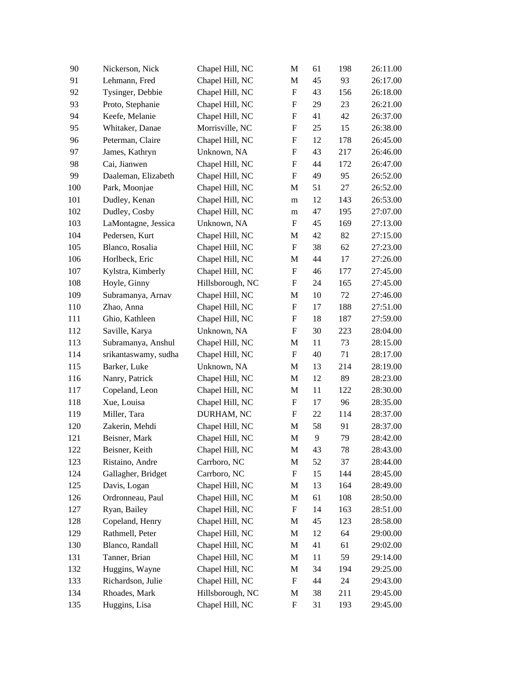| 90  | Nickerson, Nick      | Chapel Hill, NC  | M                         | 61 | 198 | 26:11.00 |
|-----|----------------------|------------------|---------------------------|----|-----|----------|
| 91  | Lehmann, Fred        | Chapel Hill, NC  | M                         | 45 | 93  | 26:17.00 |
| 92  | Tysinger, Debbie     | Chapel Hill, NC  | $\boldsymbol{\mathrm{F}}$ | 43 | 156 | 26:18.00 |
| 93  | Proto, Stephanie     | Chapel Hill, NC  | $\boldsymbol{\mathrm{F}}$ | 29 | 23  | 26:21.00 |
| 94  | Keefe, Melanie       | Chapel Hill, NC  | F                         | 41 | 42  | 26:37.00 |
| 95  | Whitaker, Danae      | Morrisville, NC  | $\boldsymbol{\mathrm{F}}$ | 25 | 15  | 26:38.00 |
| 96  | Peterman, Claire     | Chapel Hill, NC  | ${\bf F}$                 | 12 | 178 | 26:45.00 |
| 97  | James, Kathryn       | Unknown, NA      | $\boldsymbol{\mathrm{F}}$ | 43 | 217 | 26:46.00 |
| 98  | Cai, Jianwen         | Chapel Hill, NC  | F                         | 44 | 172 | 26:47.00 |
| 99  | Daaleman, Elizabeth  | Chapel Hill, NC  | ${\bf F}$                 | 49 | 95  | 26:52.00 |
| 100 | Park, Moonjae        | Chapel Hill, NC  | M                         | 51 | 27  | 26:52.00 |
| 101 | Dudley, Kenan        | Chapel Hill, NC  | m                         | 12 | 143 | 26:53.00 |
| 102 | Dudley, Cosby        | Chapel Hill, NC  | m                         | 47 | 195 | 27:07.00 |
| 103 | LaMontagne, Jessica  | Unknown, NA      | F                         | 45 | 169 | 27:13.00 |
| 104 | Pedersen, Kurt       | Chapel Hill, NC  | M                         | 42 | 82  | 27:15.00 |
| 105 | Blanco, Rosalia      | Chapel Hill, NC  | $\boldsymbol{\mathrm{F}}$ | 38 | 62  | 27:23.00 |
| 106 | Horlbeck, Eric       | Chapel Hill, NC  | M                         | 44 | 17  | 27:26.00 |
| 107 | Kylstra, Kimberly    | Chapel Hill, NC  | $\boldsymbol{\mathrm{F}}$ | 46 | 177 | 27:45.00 |
| 108 | Hoyle, Ginny         | Hillsborough, NC | ${\bf F}$                 | 24 | 165 | 27:45.00 |
| 109 | Subramanya, Arnav    | Chapel Hill, NC  | M                         | 10 | 72  | 27:46.00 |
| 110 | Zhao, Anna           | Chapel Hill, NC  | F                         | 17 | 188 | 27:51.00 |
| 111 | Ghio, Kathleen       | Chapel Hill, NC  | F                         | 18 | 187 | 27:59.00 |
| 112 | Saville, Karya       | Unknown, NA      | F                         | 30 | 223 | 28:04.00 |
| 113 | Subramanya, Anshul   | Chapel Hill, NC  | M                         | 11 | 73  | 28:15.00 |
| 114 | srikantaswamy, sudha | Chapel Hill, NC  | $\boldsymbol{\mathrm{F}}$ | 40 | 71  | 28:17.00 |
| 115 | Barker, Luke         | Unknown, NA      | M                         | 13 | 214 | 28:19.00 |
| 116 | Nanry, Patrick       | Chapel Hill, NC  | M                         | 12 | 89  | 28:23.00 |
| 117 | Copeland, Leon       | Chapel Hill, NC  | M                         | 11 | 122 | 28:30.00 |
| 118 | Xue, Louisa          | Chapel Hill, NC  | $\boldsymbol{\mathrm{F}}$ | 17 | 96  | 28:35.00 |
| 119 | Miller, Tara         | DURHAM, NC       | $\boldsymbol{\mathrm{F}}$ | 22 | 114 | 28:37.00 |
| 120 | Zakerin, Mehdi       | Chapel Hill, NC  | M                         | 58 | 91  | 28:37.00 |
| 121 | Beisner, Mark        | Chapel Hill, NC  | M                         | 9  | 79  | 28:42.00 |
| 122 | Beisner, Keith       | Chapel Hill, NC  | M                         | 43 | 78  | 28:43.00 |
| 123 | Ristaino, Andre      | Carrboro, NC     | M                         | 52 | 37  | 28:44.00 |
| 124 | Gallagher, Bridget   | Carrboro, NC     | $\boldsymbol{\mathrm{F}}$ | 15 | 144 | 28:45.00 |
| 125 | Davis, Logan         | Chapel Hill, NC  | M                         | 13 | 164 | 28:49.00 |
| 126 | Ordronneau, Paul     | Chapel Hill, NC  | M                         | 61 | 108 | 28:50.00 |
| 127 | Ryan, Bailey         | Chapel Hill, NC  | $\boldsymbol{\mathrm{F}}$ | 14 | 163 | 28:51.00 |
| 128 | Copeland, Henry      | Chapel Hill, NC  | M                         | 45 | 123 | 28:58.00 |
| 129 | Rathmell, Peter      | Chapel Hill, NC  | M                         | 12 | 64  | 29:00.00 |
| 130 | Blanco, Randall      | Chapel Hill, NC  | M                         | 41 | 61  | 29:02.00 |
| 131 | Tanner, Brian        | Chapel Hill, NC  | M                         | 11 | 59  | 29:14.00 |
| 132 | Huggins, Wayne       | Chapel Hill, NC  | M                         | 34 | 194 | 29:25.00 |
| 133 | Richardson, Julie    | Chapel Hill, NC  | $\boldsymbol{\mathrm{F}}$ | 44 | 24  | 29:43.00 |
| 134 | Rhoades, Mark        | Hillsborough, NC | M                         | 38 | 211 | 29:45.00 |
| 135 | Huggins, Lisa        | Chapel Hill, NC  | $\boldsymbol{\mathrm{F}}$ | 31 | 193 | 29:45.00 |
|     |                      |                  |                           |    |     |          |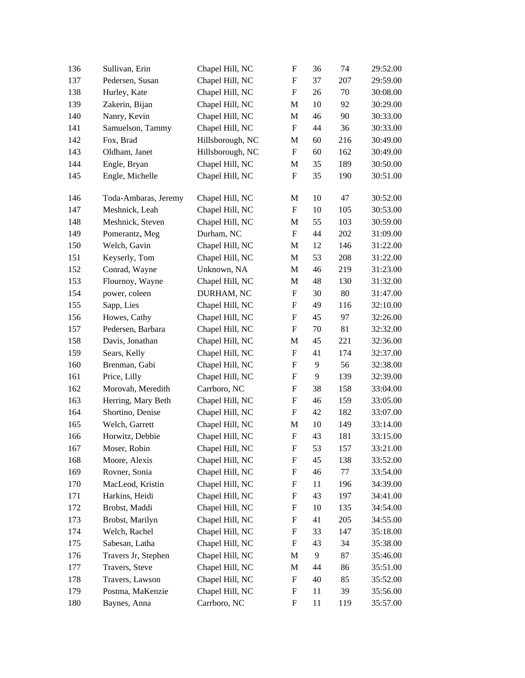| 136 | Sullivan, Erin       | Chapel Hill, NC  | F                         | 36             | 74  | 29:52.00 |
|-----|----------------------|------------------|---------------------------|----------------|-----|----------|
| 137 | Pedersen, Susan      | Chapel Hill, NC  | F                         | 37             | 207 | 29:59.00 |
| 138 | Hurley, Kate         | Chapel Hill, NC  | F                         | 26             | 70  | 30:08.00 |
| 139 | Zakerin, Bijan       | Chapel Hill, NC  | M                         | 10             | 92  | 30:29.00 |
| 140 | Nanry, Kevin         | Chapel Hill, NC  | M                         | 46             | 90  | 30:33.00 |
| 141 | Samuelson, Tammy     | Chapel Hill, NC  | F                         | 44             | 36  | 30:33.00 |
| 142 | Fox, Brad            | Hillsborough, NC | M                         | 60             | 216 | 30:49.00 |
| 143 | Oldham, Janet        | Hillsborough, NC | F                         | 60             | 162 | 30:49.00 |
| 144 | Engle, Bryan         | Chapel Hill, NC  | M                         | 35             | 189 | 30:50.00 |
| 145 | Engle, Michelle      | Chapel Hill, NC  | $\boldsymbol{\mathrm{F}}$ | 35             | 190 | 30:51.00 |
| 146 | Toda-Ambaras, Jeremy | Chapel Hill, NC  | M                         | 10             | 47  | 30:52.00 |
| 147 | Meshnick, Leah       | Chapel Hill, NC  | F                         | 10             | 105 | 30:53.00 |
| 148 | Meshnick, Steven     | Chapel Hill, NC  | M                         | 55             | 103 | 30:59.00 |
| 149 | Pomerantz, Meg       | Durham, NC       | F                         | 44             | 202 | 31:09.00 |
| 150 | Welch, Gavin         | Chapel Hill, NC  | M                         | 12             | 146 | 31:22.00 |
| 151 | Keyserly, Tom        | Chapel Hill, NC  | M                         | 53             | 208 | 31:22.00 |
| 152 | Conrad, Wayne        | Unknown, NA      | M                         | 46             | 219 | 31:23.00 |
| 153 | Flournoy, Wayne      | Chapel Hill, NC  | M                         | 48             | 130 | 31:32.00 |
| 154 | power, coleen        | DURHAM, NC       | F                         | 30             | 80  | 31:47.00 |
| 155 | Sapp, Lies           | Chapel Hill, NC  | F                         | 49             | 116 | 32:10.00 |
| 156 | Howes, Cathy         | Chapel Hill, NC  | F                         | 45             | 97  | 32:26.00 |
| 157 | Pedersen, Barbara    | Chapel Hill, NC  | F                         | 70             | 81  | 32:32.00 |
| 158 | Davis, Jonathan      | Chapel Hill, NC  | M                         | 45             | 221 | 32:36.00 |
| 159 | Sears, Kelly         | Chapel Hill, NC  | F                         | 41             | 174 | 32:37.00 |
| 160 | Brenman, Gabi        | Chapel Hill, NC  | F                         | 9              | 56  | 32:38.00 |
| 161 | Price, Lilly         | Chapel Hill, NC  | F                         | 9              | 139 | 32:39.00 |
| 162 | Morovah, Meredith    | Carrboro, NC     | F                         | 38             | 158 | 33:04.00 |
| 163 | Herring, Mary Beth   | Chapel Hill, NC  | F                         | 46             | 159 | 33:05.00 |
| 164 | Shortino, Denise     | Chapel Hill, NC  | $\boldsymbol{\mathrm{F}}$ | 42             | 182 | 33:07.00 |
| 165 | Welch, Garrett       | Chapel Hill, NC  | M                         | 10             | 149 | 33:14.00 |
| 166 | Horwitz, Debbie      | Chapel Hill, NC  | $\boldsymbol{\mathrm{F}}$ | 43             | 181 | 33:15.00 |
| 167 | Moser, Robin         | Chapel Hill, NC  | $\boldsymbol{\mathrm{F}}$ | 53             | 157 | 33:21.00 |
| 168 | Moore, Alexis        | Chapel Hill, NC  | F                         | 45             | 138 | 33:52.00 |
| 169 | Rovner, Sonia        | Chapel Hill, NC  | F                         | 46             | 77  | 33:54.00 |
| 170 | MacLeod, Kristin     | Chapel Hill, NC  | F                         | 11             | 196 | 34:39.00 |
| 171 | Harkins, Heidi       | Chapel Hill, NC  | F                         | 43             | 197 | 34:41.00 |
| 172 | Brobst, Maddi        | Chapel Hill, NC  | F                         | 10             | 135 | 34:54.00 |
| 173 | Brobst, Marilyn      | Chapel Hill, NC  | F                         | 41             | 205 | 34:55.00 |
| 174 | Welch, Rachel        | Chapel Hill, NC  | F                         | 33             | 147 | 35:18.00 |
| 175 | Sabesan, Latha       | Chapel Hill, NC  | F                         | 43             | 34  | 35:38.00 |
| 176 | Travers Jr, Stephen  | Chapel Hill, NC  | M                         | $\overline{9}$ | 87  | 35:46.00 |
| 177 | Travers, Steve       | Chapel Hill, NC  | M                         | 44             | 86  | 35:51.00 |
| 178 | Travers, Lawson      | Chapel Hill, NC  | F                         | 40             | 85  | 35:52.00 |
| 179 | Postma, MaKenzie     | Chapel Hill, NC  | F                         | 11             | 39  | 35:56.00 |
| 180 | Baynes, Anna         | Carrboro, NC     | F                         | 11             | 119 | 35:57.00 |